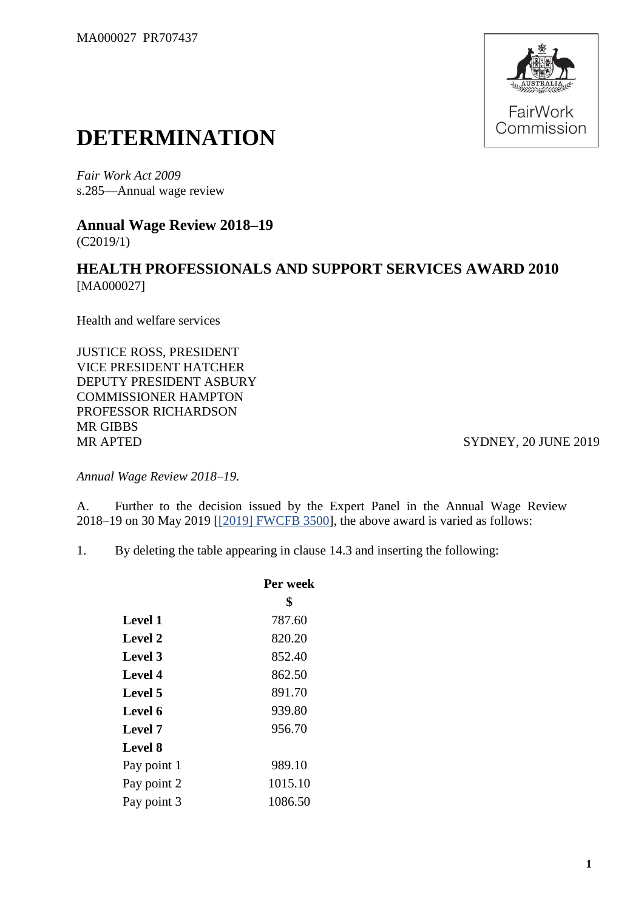

## **DETERMINATION**

*Fair Work Act 2009*  s.285—Annual wage review

**Annual Wage Review 2018–19** (C2019/1)

## **HEALTH PROFESSIONALS AND SUPPORT SERVICES AWARD 2010** [MA000027]

Health and welfare services

JUSTICE ROSS, PRESIDENT VICE PRESIDENT HATCHER DEPUTY PRESIDENT ASBURY COMMISSIONER HAMPTON PROFESSOR RICHARDSON MR GIBBS MR APTED SYDNEY, 20 JUNE 2019

*Annual Wage Review 2018–19.*

A. Further to the decision issued by the Expert Panel in the Annual Wage Review 2018–19 on 30 May 2019 [\[\[2019\] FWCFB 3500\]](https://www.fwc.gov.au/documents/decisionssigned/html/2019fwcfb3500.htm), the above award is varied as follows:

1. By deleting the table appearing in clause 14.3 and inserting the following:

|                | Per week |  |
|----------------|----------|--|
|                | \$       |  |
| <b>Level 1</b> | 787.60   |  |
| Level 2        | 820.20   |  |
| Level 3        | 852.40   |  |
| Level 4        | 862.50   |  |
| Level 5        | 891.70   |  |
| Level 6        | 939.80   |  |
| Level 7        | 956.70   |  |
| Level 8        |          |  |
| Pay point 1    | 989.10   |  |
| Pay point 2    | 1015.10  |  |
| Pay point 3    | 1086.50  |  |
|                |          |  |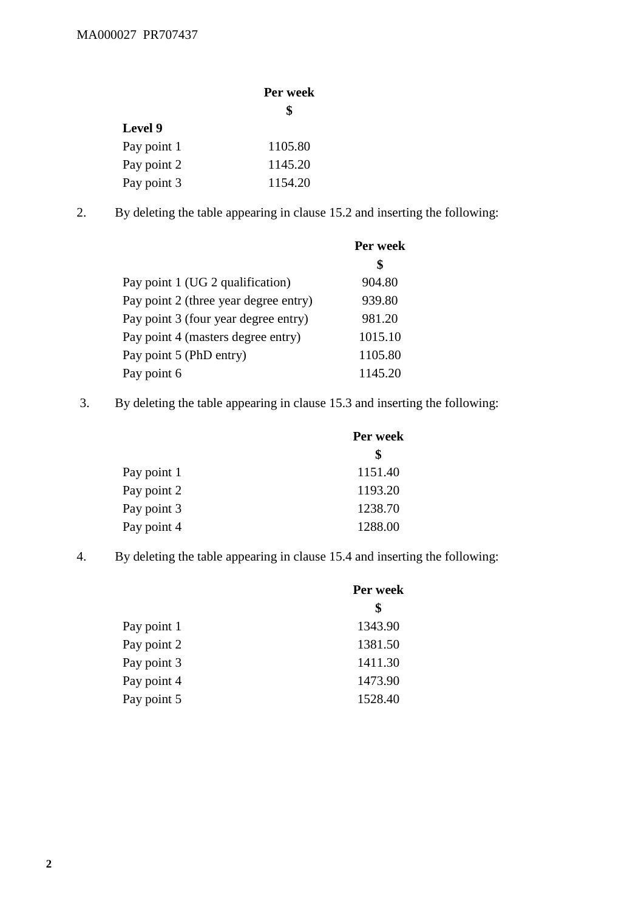## MA000027 PR707437

|             | Per week |  |
|-------------|----------|--|
|             | \$       |  |
| Level 9     |          |  |
| Pay point 1 | 1105.80  |  |
| Pay point 2 | 1145.20  |  |
| Pay point 3 | 1154.20  |  |

2. By deleting the table appearing in clause 15.2 and inserting the following:

|                                       | \$      |
|---------------------------------------|---------|
| Pay point 1 (UG 2 qualification)      | 904.80  |
| Pay point 2 (three year degree entry) | 939.80  |
| Pay point 3 (four year degree entry)  | 981.20  |
| Pay point 4 (masters degree entry)    | 1015.10 |
| Pay point 5 (PhD entry)               | 1105.80 |
| Pay point 6                           | 1145.20 |

3. By deleting the table appearing in clause 15.3 and inserting the following:

|             | Per week |
|-------------|----------|
|             | \$       |
| Pay point 1 | 1151.40  |
| Pay point 2 | 1193.20  |
| Pay point 3 | 1238.70  |
| Pay point 4 | 1288.00  |

4. By deleting the table appearing in clause 15.4 and inserting the following:

|             | Per week |  |
|-------------|----------|--|
|             | \$       |  |
| Pay point 1 | 1343.90  |  |
| Pay point 2 | 1381.50  |  |
| Pay point 3 | 1411.30  |  |
| Pay point 4 | 1473.90  |  |
| Pay point 5 | 1528.40  |  |